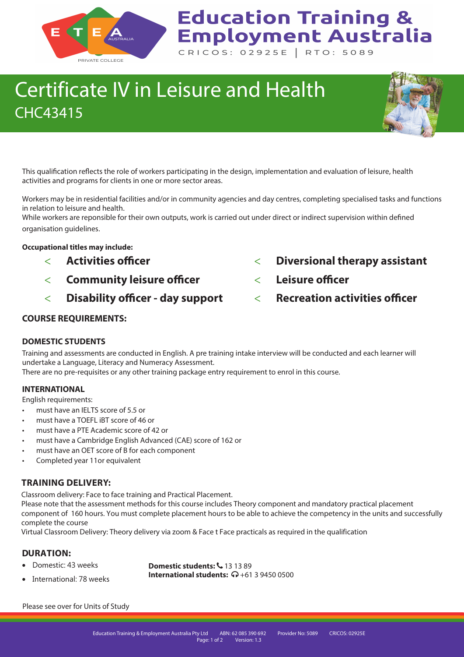

# **Education Training & Employment Australia**

CRICOS: 02925E | RTO: 5089

## Certificate IV in Leisure and Health CHC43415



Workers may be in residential facilities and/or in community agencies and day centres, completing specialised tasks and functions in relation to leisure and health.

While workers are reponsible for their own outputs, work is carried out under direct or indirect supervision within defined organisation guidelines.

#### **Occupational titles may include:**

- **Activities officer**
- **Community leisure officer**
- **Disability officer day support**
- **Diversional therapy assistant**
- **Leisure officer**
- **Recreation activities officer**

#### **COURSE REQUIREMENTS:**

#### **DOMESTIC STUDENTS**

Training and assessments are conducted in English. A pre training intake interview will be conducted and each learner will undertake a Language, Literacy and Numeracy Assessment.

There are no pre-requisites or any other training package entry requirement to enrol in this course.

#### **INTERNATIONAL**

English requirements:

- must have an IELTS score of 5.5 or
- must have a TOEFL iBT score of 46 or
- must have a PTE Academic score of 42 or
- must have a Cambridge English Advanced (CAE) score of 162 or
- must have an OET score of B for each component
- Completed year 11or equivalent

#### **TRAINING DELIVERY:**

Classroom delivery: Face to face training and Practical Placement.

Please note that the assessment methods for this course includes Theory component and mandatory practical placement component of 160 hours. You must complete placement hours to be able to achieve the competency in the units and successfully complete the course

Virtual Classroom Delivery: Theory delivery via zoom & Face t Face practicals as required in the qualification

#### **DURATION:**

• Domestic: 43 weeks

**Domestic students:**  $\frac{1}{2}$  **13 13 89 International students:**  $\Omega$  +61 3 9450 0500

• International: 78 weeks

Please see over for Units of Study